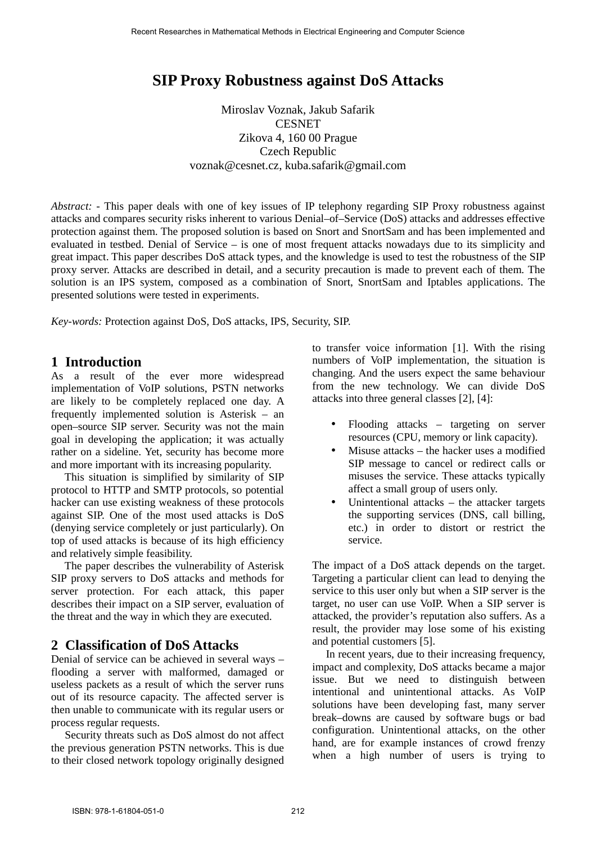# **SIP Proxy Robustness against DoS Attacks**

Miroslav Voznak, Jakub Safarik **CESNET** Zikova 4, 160 00 Prague Czech Republic voznak@cesnet.cz, kuba.safarik@gmail.com

*Abstract: -* This paper deals with one of key issues of IP telephony regarding SIP Proxy robustness against attacks and compares security risks inherent to various Denial–of–Service (DoS) attacks and addresses effective protection against them. The proposed solution is based on Snort and SnortSam and has been implemented and evaluated in testbed. Denial of Service – is one of most frequent attacks nowadays due to its simplicity and great impact. This paper describes DoS attack types, and the knowledge is used to test the robustness of the SIP proxy server. Attacks are described in detail, and a security precaution is made to prevent each of them. The solution is an IPS system, composed as a combination of Snort, SnortSam and Iptables applications. The presented solutions were tested in experiments.

*Key-words:* Protection against DoS, DoS attacks, IPS, Security, SIP.

## **1 Introduction**

As a result of the ever more widespread implementation of VoIP solutions, PSTN networks are likely to be completely replaced one day. A frequently implemented solution is Asterisk – an open–source SIP server. Security was not the main goal in developing the application; it was actually rather on a sideline. Yet, security has become more and more important with its increasing popularity.

 This situation is simplified by similarity of SIP protocol to HTTP and SMTP protocols, so potential hacker can use existing weakness of these protocols against SIP. One of the most used attacks is DoS (denying service completely or just particularly). On top of used attacks is because of its high efficiency and relatively simple feasibility.

 The paper describes the vulnerability of Asterisk SIP proxy servers to DoS attacks and methods for server protection. For each attack, this paper describes their impact on a SIP server, evaluation of the threat and the way in which they are executed.

# **2 Classification of DoS Attacks**

Denial of service can be achieved in several ways – flooding a server with malformed, damaged or useless packets as a result of which the server runs out of its resource capacity. The affected server is then unable to communicate with its regular users or process regular requests.

 Security threats such as DoS almost do not affect the previous generation PSTN networks. This is due to their closed network topology originally designed to transfer voice information [1]. With the rising numbers of VoIP implementation, the situation is changing. And the users expect the same behaviour from the new technology. We can divide DoS attacks into three general classes [2], [4]:

- Flooding attacks targeting on server resources (CPU, memory or link capacity).
- Misuse attacks the hacker uses a modified SIP message to cancel or redirect calls or misuses the service. These attacks typically affect a small group of users only.
- Unintentional attacks  $-$  the attacker targets the supporting services (DNS, call billing, etc.) in order to distort or restrict the service.

The impact of a DoS attack depends on the target. Targeting a particular client can lead to denying the service to this user only but when a SIP server is the target, no user can use VoIP. When a SIP server is attacked, the provider's reputation also suffers. As a result, the provider may lose some of his existing and potential customers [5].

In recent years, due to their increasing frequency, impact and complexity, DoS attacks became a major issue. But we need to distinguish between intentional and unintentional attacks. As VoIP solutions have been developing fast, many server break–downs are caused by software bugs or bad configuration. Unintentional attacks, on the other hand, are for example instances of crowd frenzy when a high number of users is trying to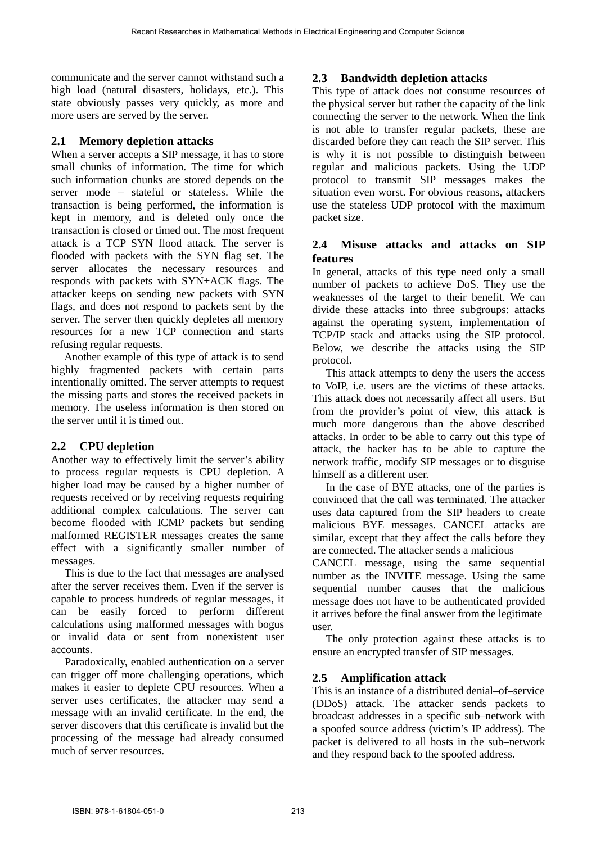communicate and the server cannot withstand such a high load (natural disasters, holidays, etc.). This state obviously passes very quickly, as more and more users are served by the server.

## **2.1 Memory depletion attacks**

When a server accepts a SIP message, it has to store small chunks of information. The time for which such information chunks are stored depends on the server mode – stateful or stateless. While the transaction is being performed, the information is kept in memory, and is deleted only once the transaction is closed or timed out. The most frequent attack is a TCP SYN flood attack. The server is flooded with packets with the SYN flag set. The server allocates the necessary resources and responds with packets with SYN+ACK flags. The attacker keeps on sending new packets with SYN flags, and does not respond to packets sent by the server. The server then quickly depletes all memory resources for a new TCP connection and starts refusing regular requests.

 Another example of this type of attack is to send highly fragmented packets with certain parts intentionally omitted. The server attempts to request the missing parts and stores the received packets in memory. The useless information is then stored on the server until it is timed out.

# **2.2 CPU depletion**

Another way to effectively limit the server's ability to process regular requests is CPU depletion. A higher load may be caused by a higher number of requests received or by receiving requests requiring additional complex calculations. The server can become flooded with ICMP packets but sending malformed REGISTER messages creates the same effect with a significantly smaller number of messages.

 This is due to the fact that messages are analysed after the server receives them. Even if the server is capable to process hundreds of regular messages, it can be easily forced to perform different calculations using malformed messages with bogus or invalid data or sent from nonexistent user accounts.

 Paradoxically, enabled authentication on a server can trigger off more challenging operations, which makes it easier to deplete CPU resources. When a server uses certificates, the attacker may send a message with an invalid certificate. In the end, the server discovers that this certificate is invalid but the processing of the message had already consumed much of server resources.

# **2.3 Bandwidth depletion attacks**

This type of attack does not consume resources of the physical server but rather the capacity of the link connecting the server to the network. When the link is not able to transfer regular packets, these are discarded before they can reach the SIP server. This is why it is not possible to distinguish between regular and malicious packets. Using the UDP protocol to transmit SIP messages makes the situation even worst. For obvious reasons, attackers use the stateless UDP protocol with the maximum packet size.

### **2.4 Misuse attacks and attacks on SIP features**

In general, attacks of this type need only a small number of packets to achieve DoS. They use the weaknesses of the target to their benefit. We can divide these attacks into three subgroups: attacks against the operating system, implementation of TCP/IP stack and attacks using the SIP protocol. Below, we describe the attacks using the SIP protocol.

 This attack attempts to deny the users the access to VoIP, i.e. users are the victims of these attacks. This attack does not necessarily affect all users. But from the provider's point of view, this attack is much more dangerous than the above described attacks. In order to be able to carry out this type of attack, the hacker has to be able to capture the network traffic, modify SIP messages or to disguise himself as a different user.

 In the case of BYE attacks, one of the parties is convinced that the call was terminated. The attacker uses data captured from the SIP headers to create malicious BYE messages. CANCEL attacks are similar, except that they affect the calls before they are connected. The attacker sends a malicious

CANCEL message, using the same sequential number as the INVITE message. Using the same sequential number causes that the malicious message does not have to be authenticated provided it arrives before the final answer from the legitimate user.

 The only protection against these attacks is to ensure an encrypted transfer of SIP messages.

# **2.5 Amplification attack**

This is an instance of a distributed denial–of–service (DDoS) attack. The attacker sends packets to broadcast addresses in a specific sub–network with a spoofed source address (victim's IP address). The packet is delivered to all hosts in the sub–network and they respond back to the spoofed address.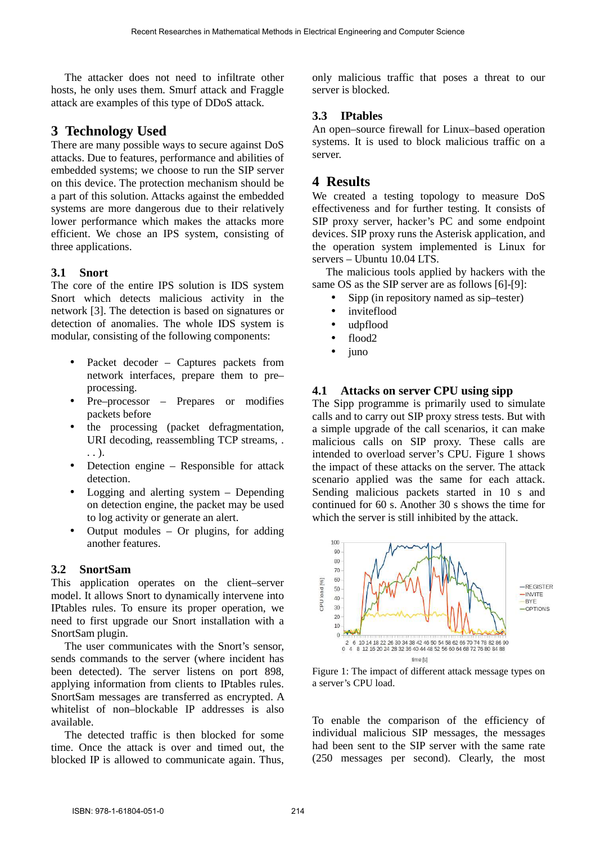The attacker does not need to infiltrate other hosts, he only uses them. Smurf attack and Fraggle attack are examples of this type of DDoS attack.

# **3 Technology Used**

There are many possible ways to secure against DoS attacks. Due to features, performance and abilities of embedded systems; we choose to run the SIP server on this device. The protection mechanism should be a part of this solution. Attacks against the embedded systems are more dangerous due to their relatively lower performance which makes the attacks more efficient. We chose an IPS system, consisting of three applications.

## **3.1 Snort**

The core of the entire IPS solution is IDS system Snort which detects malicious activity in the network [3]. The detection is based on signatures or detection of anomalies. The whole IDS system is modular, consisting of the following components:

- Packet decoder Captures packets from network interfaces, prepare them to pre– processing.
- Pre–processor Prepares or modifies packets before
- the processing (packet defragmentation, URI decoding, reassembling TCP streams, . . . ).
- Detection engine Responsible for attack detection.
- Logging and alerting system  $-$  Depending on detection engine, the packet may be used to log activity or generate an alert.
- Output modules Or plugins, for adding another features.

### **3.2 SnortSam**

This application operates on the client–server model. It allows Snort to dynamically intervene into IPtables rules. To ensure its proper operation, we need to first upgrade our Snort installation with a SnortSam plugin.

 The user communicates with the Snort's sensor, sends commands to the server (where incident has been detected). The server listens on port 898, applying information from clients to IPtables rules. SnortSam messages are transferred as encrypted. A whitelist of non–blockable IP addresses is also available.

 The detected traffic is then blocked for some time. Once the attack is over and timed out, the blocked IP is allowed to communicate again. Thus, only malicious traffic that poses a threat to our server is blocked.

# **3.3 IPtables**

An open–source firewall for Linux–based operation systems. It is used to block malicious traffic on a server.

# **4 Results**

We created a testing topology to measure DoS effectiveness and for further testing. It consists of SIP proxy server, hacker's PC and some endpoint devices. SIP proxy runs the Asterisk application, and the operation system implemented is Linux for servers – Ubuntu 10.04 LTS.

 The malicious tools applied by hackers with the same OS as the SIP server are as follows [6]-[9]:

- Sipp (in repository named as sip–tester)
- inviteflood
- udpflood
- $\bullet$  flood?
- juno

# **4.1 Attacks on server CPU using sipp**

The Sipp programme is primarily used to simulate calls and to carry out SIP proxy stress tests. But with a simple upgrade of the call scenarios, it can make malicious calls on SIP proxy. These calls are intended to overload server's CPU. Figure 1 shows the impact of these attacks on the server. The attack scenario applied was the same for each attack. Sending malicious packets started in 10 s and continued for 60 s. Another 30 s shows the time for which the server is still inhibited by the attack.



Figure 1: The impact of different attack message types on a server's CPU load.

To enable the comparison of the efficiency of individual malicious SIP messages, the messages had been sent to the SIP server with the same rate (250 messages per second). Clearly, the most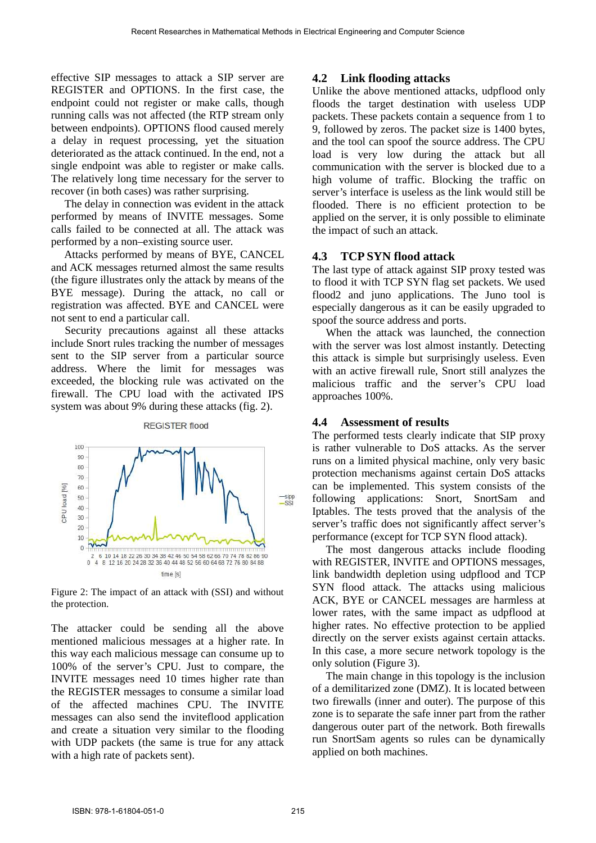effective SIP messages to attack a SIP server are REGISTER and OPTIONS. In the first case, the endpoint could not register or make calls, though running calls was not affected (the RTP stream only between endpoints). OPTIONS flood caused merely a delay in request processing, yet the situation deteriorated as the attack continued. In the end, not a single endpoint was able to register or make calls. The relatively long time necessary for the server to recover (in both cases) was rather surprising.

 The delay in connection was evident in the attack performed by means of INVITE messages. Some calls failed to be connected at all. The attack was performed by a non–existing source user.

 Attacks performed by means of BYE, CANCEL and ACK messages returned almost the same results (the figure illustrates only the attack by means of the BYE message). During the attack, no call or registration was affected. BYE and CANCEL were not sent to end a particular call.

 Security precautions against all these attacks include Snort rules tracking the number of messages sent to the SIP server from a particular source address. Where the limit for messages was exceeded, the blocking rule was activated on the firewall. The CPU load with the activated IPS system was about 9% during these attacks (fig. 2).



Figure 2: The impact of an attack with (SSI) and without the protection.

The attacker could be sending all the above mentioned malicious messages at a higher rate. In this way each malicious message can consume up to 100% of the server's CPU. Just to compare, the INVITE messages need 10 times higher rate than the REGISTER messages to consume a similar load of the affected machines CPU. The INVITE messages can also send the inviteflood application and create a situation very similar to the flooding with UDP packets (the same is true for any attack with a high rate of packets sent).

#### **4.2 Link flooding attacks**

Unlike the above mentioned attacks, udpflood only floods the target destination with useless UDP packets. These packets contain a sequence from 1 to 9, followed by zeros. The packet size is 1400 bytes, and the tool can spoof the source address. The CPU load is very low during the attack but all communication with the server is blocked due to a high volume of traffic. Blocking the traffic on server's interface is useless as the link would still be flooded. There is no efficient protection to be applied on the server, it is only possible to eliminate the impact of such an attack.

#### **4.3 TCP SYN flood attack**

The last type of attack against SIP proxy tested was to flood it with TCP SYN flag set packets. We used flood2 and juno applications. The Juno tool is especially dangerous as it can be easily upgraded to spoof the source address and ports.

 When the attack was launched, the connection with the server was lost almost instantly. Detecting this attack is simple but surprisingly useless. Even with an active firewall rule, Snort still analyzes the malicious traffic and the server's CPU load approaches 100%.

#### **4.4 Assessment of results**

The performed tests clearly indicate that SIP proxy is rather vulnerable to DoS attacks. As the server runs on a limited physical machine, only very basic protection mechanisms against certain DoS attacks can be implemented. This system consists of the following applications: Snort, SnortSam and Iptables. The tests proved that the analysis of the server's traffic does not significantly affect server's performance (except for TCP SYN flood attack).

 The most dangerous attacks include flooding with REGISTER, INVITE and OPTIONS messages, link bandwidth depletion using udpflood and TCP SYN flood attack. The attacks using malicious ACK, BYE or CANCEL messages are harmless at lower rates, with the same impact as udpflood at higher rates. No effective protection to be applied directly on the server exists against certain attacks. In this case, a more secure network topology is the only solution (Figure 3).

 The main change in this topology is the inclusion of a demilitarized zone (DMZ). It is located between two firewalls (inner and outer). The purpose of this zone is to separate the safe inner part from the rather dangerous outer part of the network. Both firewalls run SnortSam agents so rules can be dynamically applied on both machines.